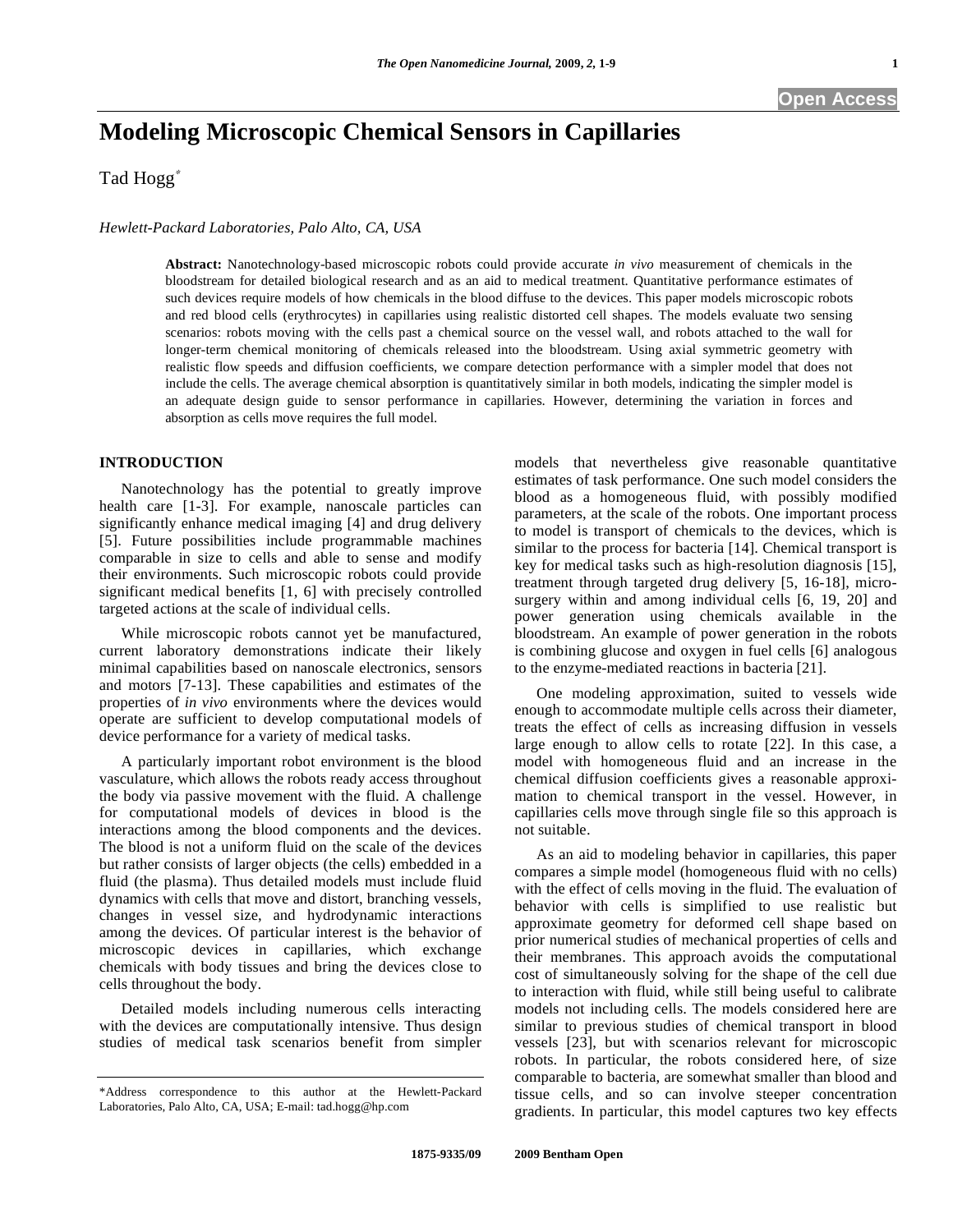# **Modeling Microscopic Chemical Sensors in Capillaries**

Tad Hogg

#### *Hewlett-Packard Laboratories, Palo Alto, CA, USA*

**Abstract:** Nanotechnology-based microscopic robots could provide accurate *in vivo* measurement of chemicals in the bloodstream for detailed biological research and as an aid to medical treatment. Quantitative performance estimates of such devices require models of how chemicals in the blood diffuse to the devices. This paper models microscopic robots and red blood cells (erythrocytes) in capillaries using realistic distorted cell shapes. The models evaluate two sensing scenarios: robots moving with the cells past a chemical source on the vessel wall, and robots attached to the wall for longer-term chemical monitoring of chemicals released into the bloodstream. Using axial symmetric geometry with realistic flow speeds and diffusion coefficients, we compare detection performance with a simpler model that does not include the cells. The average chemical absorption is quantitatively similar in both models, indicating the simpler model is an adequate design guide to sensor performance in capillaries. However, determining the variation in forces and absorption as cells move requires the full model.

## **INTRODUCTION**

 Nanotechnology has the potential to greatly improve health care [1-3]. For example, nanoscale particles can significantly enhance medical imaging [4] and drug delivery [5]. Future possibilities include programmable machines comparable in size to cells and able to sense and modify their environments. Such microscopic robots could provide significant medical benefits [1, 6] with precisely controlled targeted actions at the scale of individual cells.

 While microscopic robots cannot yet be manufactured, current laboratory demonstrations indicate their likely minimal capabilities based on nanoscale electronics, sensors and motors [7-13]. These capabilities and estimates of the properties of *in vivo* environments where the devices would operate are sufficient to develop computational models of device performance for a variety of medical tasks.

 A particularly important robot environment is the blood vasculature, which allows the robots ready access throughout the body via passive movement with the fluid. A challenge for computational models of devices in blood is the interactions among the blood components and the devices. The blood is not a uniform fluid on the scale of the devices but rather consists of larger objects (the cells) embedded in a fluid (the plasma). Thus detailed models must include fluid dynamics with cells that move and distort, branching vessels, changes in vessel size, and hydrodynamic interactions among the devices. Of particular interest is the behavior of microscopic devices in capillaries, which exchange chemicals with body tissues and bring the devices close to cells throughout the body.

 Detailed models including numerous cells interacting with the devices are computationally intensive. Thus design studies of medical task scenarios benefit from simpler models that nevertheless give reasonable quantitative estimates of task performance. One such model considers the blood as a homogeneous fluid, with possibly modified parameters, at the scale of the robots. One important process to model is transport of chemicals to the devices, which is similar to the process for bacteria [14]. Chemical transport is key for medical tasks such as high-resolution diagnosis [15], treatment through targeted drug delivery [5, 16-18], microsurgery within and among individual cells [6, 19, 20] and power generation using chemicals available in the bloodstream. An example of power generation in the robots is combining glucose and oxygen in fuel cells [6] analogous to the enzyme-mediated reactions in bacteria [21].

 One modeling approximation, suited to vessels wide enough to accommodate multiple cells across their diameter, treats the effect of cells as increasing diffusion in vessels large enough to allow cells to rotate [22]. In this case, a model with homogeneous fluid and an increase in the chemical diffusion coefficients gives a reasonable approximation to chemical transport in the vessel. However, in capillaries cells move through single file so this approach is not suitable.

 As an aid to modeling behavior in capillaries, this paper compares a simple model (homogeneous fluid with no cells) with the effect of cells moving in the fluid. The evaluation of behavior with cells is simplified to use realistic but approximate geometry for deformed cell shape based on prior numerical studies of mechanical properties of cells and their membranes. This approach avoids the computational cost of simultaneously solving for the shape of the cell due to interaction with fluid, while still being useful to calibrate models not including cells. The models considered here are similar to previous studies of chemical transport in blood vessels [23], but with scenarios relevant for microscopic robots. In particular, the robots considered here, of size comparable to bacteria, are somewhat smaller than blood and tissue cells, and so can involve steeper concentration gradients. In particular, this model captures two key effects

<sup>\*</sup>Address correspondence to this author at the Hewlett-Packard Laboratories, Palo Alto, CA, USA; E-mail: tad.hogg@hp.com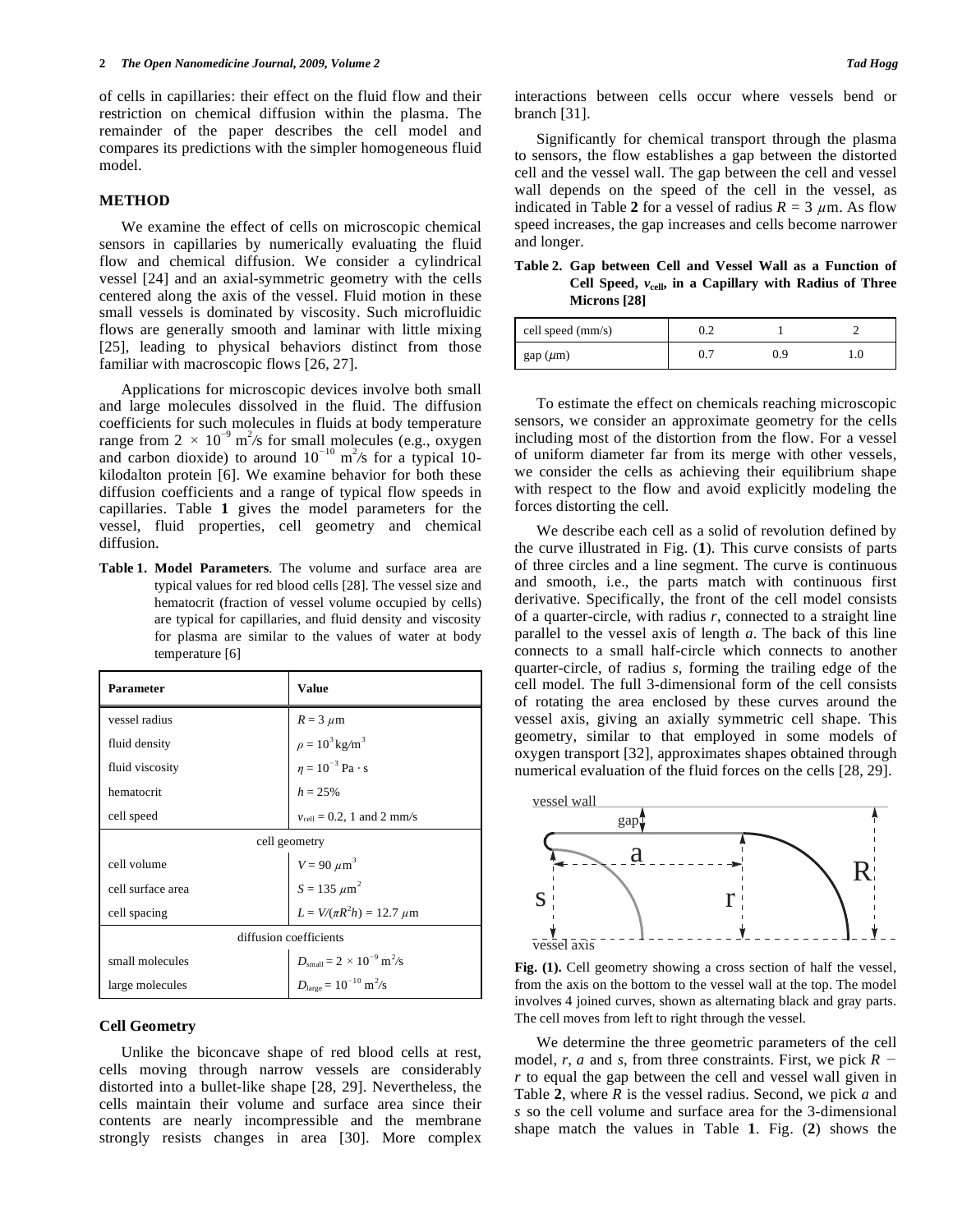of cells in capillaries: their effect on the fluid flow and their restriction on chemical diffusion within the plasma. The remainder of the paper describes the cell model and compares its predictions with the simpler homogeneous fluid model.

#### **METHOD**

 We examine the effect of cells on microscopic chemical sensors in capillaries by numerically evaluating the fluid flow and chemical diffusion. We consider a cylindrical vessel [24] and an axial-symmetric geometry with the cells centered along the axis of the vessel. Fluid motion in these small vessels is dominated by viscosity. Such microfluidic flows are generally smooth and laminar with little mixing [25], leading to physical behaviors distinct from those familiar with macroscopic flows [26, 27].

 Applications for microscopic devices involve both small and large molecules dissolved in the fluid. The diffusion coefficients for such molecules in fluids at body temperature range from  $2 \times 10^{-9}$  m<sup>2</sup>/s for small molecules (e.g., oxygen and carbon dioxide) to around  $10^{-10}$  m<sup>2</sup>/s for a typical 10kilodalton protein [6]. We examine behavior for both these diffusion coefficients and a range of typical flow speeds in capillaries. Table **1** gives the model parameters for the vessel, fluid properties, cell geometry and chemical diffusion.

**Table 1. Model Parameters**. The volume and surface area are typical values for red blood cells [28]. The vessel size and hematocrit (fraction of vessel volume occupied by cells) are typical for capillaries, and fluid density and viscosity for plasma are similar to the values of water at body temperature [6]

| <b>Parameter</b>       | <b>Value</b>                                               |  |  |
|------------------------|------------------------------------------------------------|--|--|
| vessel radius          | $R = 3 \mu m$                                              |  |  |
| fluid density          | $\rho = 10^3 \,\mathrm{kg/m}^3$                            |  |  |
| fluid viscosity        | $n = 10^{-3}$ Pa · s                                       |  |  |
| hematocrit             | $h = 25\%$                                                 |  |  |
| cell speed             | $v_{cell} = 0.2$ , 1 and 2 mm/s                            |  |  |
| cell geometry          |                                                            |  |  |
| cell volume            |                                                            |  |  |
| cell surface area      | $V = 90 \ \mu m^3$<br>$S = 135 \ \mu m^2$                  |  |  |
| cell spacing           | $L = V/(\pi R^2 h) = 12.7 \ \mu m$                         |  |  |
| diffusion coefficients |                                                            |  |  |
| small molecules        | $D_{\text{small}} = 2 \times 10^{-9} \text{ m}^2/\text{s}$ |  |  |
| large molecules        | $D_{\text{large}} = 10^{-10} \text{ m}^2/\text{s}$         |  |  |

#### **Cell Geometry**

 Unlike the biconcave shape of red blood cells at rest, cells moving through narrow vessels are considerably distorted into a bullet-like shape [28, 29]. Nevertheless, the cells maintain their volume and surface area since their contents are nearly incompressible and the membrane strongly resists changes in area [30]. More complex interactions between cells occur where vessels bend or branch [31].

 Significantly for chemical transport through the plasma to sensors, the flow establishes a gap between the distorted cell and the vessel wall. The gap between the cell and vessel wall depends on the speed of the cell in the vessel, as indicated in Table 2 for a vessel of radius  $R = 3 \mu m$ . As flow speed increases, the gap increases and cells become narrower and longer.

**Table 2. Gap between Cell and Vessel Wall as a Function of Cell Speed,** *v***cell, in a Capillary with Radius of Three Microns [28]** 

| cell speed (mm/s) | $\sqrt{ }$<br>∪.∠ |     |  |
|-------------------|-------------------|-----|--|
| gap (µm)          | υ.,               | 0.9 |  |

 To estimate the effect on chemicals reaching microscopic sensors, we consider an approximate geometry for the cells including most of the distortion from the flow. For a vessel of uniform diameter far from its merge with other vessels, we consider the cells as achieving their equilibrium shape with respect to the flow and avoid explicitly modeling the forces distorting the cell.

 We describe each cell as a solid of revolution defined by the curve illustrated in Fig. (**1**). This curve consists of parts of three circles and a line segment. The curve is continuous and smooth, i.e., the parts match with continuous first derivative. Specifically, the front of the cell model consists of a quarter-circle, with radius *r*, connected to a straight line parallel to the vessel axis of length *a*. The back of this line connects to a small half-circle which connects to another quarter-circle, of radius *s*, forming the trailing edge of the cell model. The full 3-dimensional form of the cell consists of rotating the area enclosed by these curves around the vessel axis, giving an axially symmetric cell shape. This geometry, similar to that employed in some models of oxygen transport [32], approximates shapes obtained through numerical evaluation of the fluid forces on the cells [28, 29].



**Fig. (1).** Cell geometry showing a cross section of half the vessel, from the axis on the bottom to the vessel wall at the top. The model involves 4 joined curves, shown as alternating black and gray parts. The cell moves from left to right through the vessel.

 We determine the three geometric parameters of the cell model, *r*, *a* and *s*, from three constraints. First, we pick *R r* to equal the gap between the cell and vessel wall given in Table **2**, where *R* is the vessel radius. Second, we pick *a* and *s* so the cell volume and surface area for the 3-dimensional shape match the values in Table **1**. Fig. (**2**) shows the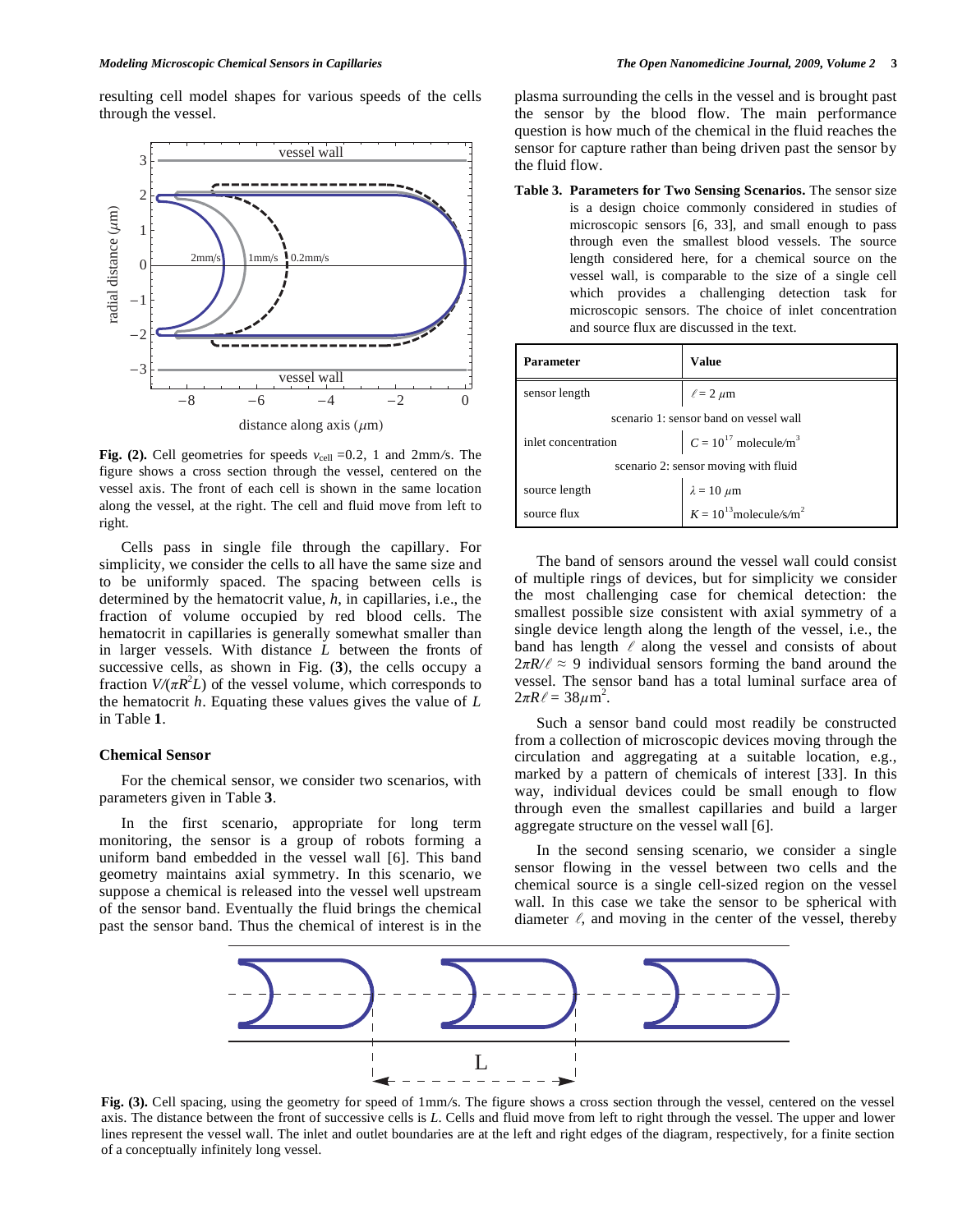resulting cell model shapes for various speeds of the cells through the vessel.



**Fig. (2).** Cell geometries for speeds  $v_{cell} = 0.2$ , 1 and 2mm/s. The figure shows a cross section through the vessel, centered on the vessel axis. The front of each cell is shown in the same location along the vessel, at the right. The cell and fluid move from left to right.

 Cells pass in single file through the capillary. For simplicity, we consider the cells to all have the same size and to be uniformly spaced. The spacing between cells is determined by the hematocrit value, *h*, in capillaries, i.e., the fraction of volume occupied by red blood cells. The hematocrit in capillaries is generally somewhat smaller than in larger vessels. With distance *L* between the fronts of successive cells, as shown in Fig. (**3**), the cells occupy a fraction  $V/(\pi R^2 L)$  of the vessel volume, which corresponds to the hematocrit *h*. Equating these values gives the value of *L*  in Table **1**.

#### **Chemical Sensor**

 For the chemical sensor, we consider two scenarios, with parameters given in Table **3**.

 In the first scenario, appropriate for long term monitoring, the sensor is a group of robots forming a uniform band embedded in the vessel wall [6]. This band geometry maintains axial symmetry. In this scenario, we suppose a chemical is released into the vessel well upstream of the sensor band. Eventually the fluid brings the chemical past the sensor band. Thus the chemical of interest is in the plasma surrounding the cells in the vessel and is brought past the sensor by the blood flow. The main performance question is how much of the chemical in the fluid reaches the sensor for capture rather than being driven past the sensor by the fluid flow.

**Table 3. Parameters for Two Sensing Scenarios.** The sensor size is a design choice commonly considered in studies of microscopic sensors [6, 33], and small enough to pass through even the smallest blood vessels. The source length considered here, for a chemical source on the vessel wall, is comparable to the size of a single cell which provides a challenging detection task for microscopic sensors. The choice of inlet concentration and source flux are discussed in the text.

| Parameter                              | <b>Value</b>                                                         |  |
|----------------------------------------|----------------------------------------------------------------------|--|
| sensor length                          | $\ell = 2 \mu m$                                                     |  |
| scenario 1: sensor band on vessel wall |                                                                      |  |
| inlet concentration                    | $C = 10^{17}$ molecule/m <sup>3</sup>                                |  |
| scenario 2: sensor moving with fluid   |                                                                      |  |
| source length                          |                                                                      |  |
| source flux                            | $\lambda = 10 \ \mu \text{m}$<br>$K = 10^{13} \text{molecule/s/m}^2$ |  |

 The band of sensors around the vessel wall could consist of multiple rings of devices, but for simplicity we consider the most challenging case for chemical detection: the smallest possible size consistent with axial symmetry of a single device length along the length of the vessel, i.e., the band has length  $\ell$  along the vessel and consists of about  $2\pi R/\ell \approx 9$  individual sensors forming the band around the vessel. The sensor band has a total luminal surface area of  $2\pi R \ell = 38 \mu m^2$ .

 Such a sensor band could most readily be constructed from a collection of microscopic devices moving through the circulation and aggregating at a suitable location, e.g., marked by a pattern of chemicals of interest [33]. In this way, individual devices could be small enough to flow through even the smallest capillaries and build a larger aggregate structure on the vessel wall [6].

 In the second sensing scenario, we consider a single sensor flowing in the vessel between two cells and the chemical source is a single cell-sized region on the vessel wall. In this case we take the sensor to be spherical with diameter  $\ell$ , and moving in the center of the vessel, thereby



**Fig. (3).** Cell spacing, using the geometry for speed of 1mm*/*s. The figure shows a cross section through the vessel, centered on the vessel axis. The distance between the front of successive cells is *L*. Cells and fluid move from left to right through the vessel. The upper and lower lines represent the vessel wall. The inlet and outlet boundaries are at the left and right edges of the diagram, respectively, for a finite section of a conceptually infinitely long vessel.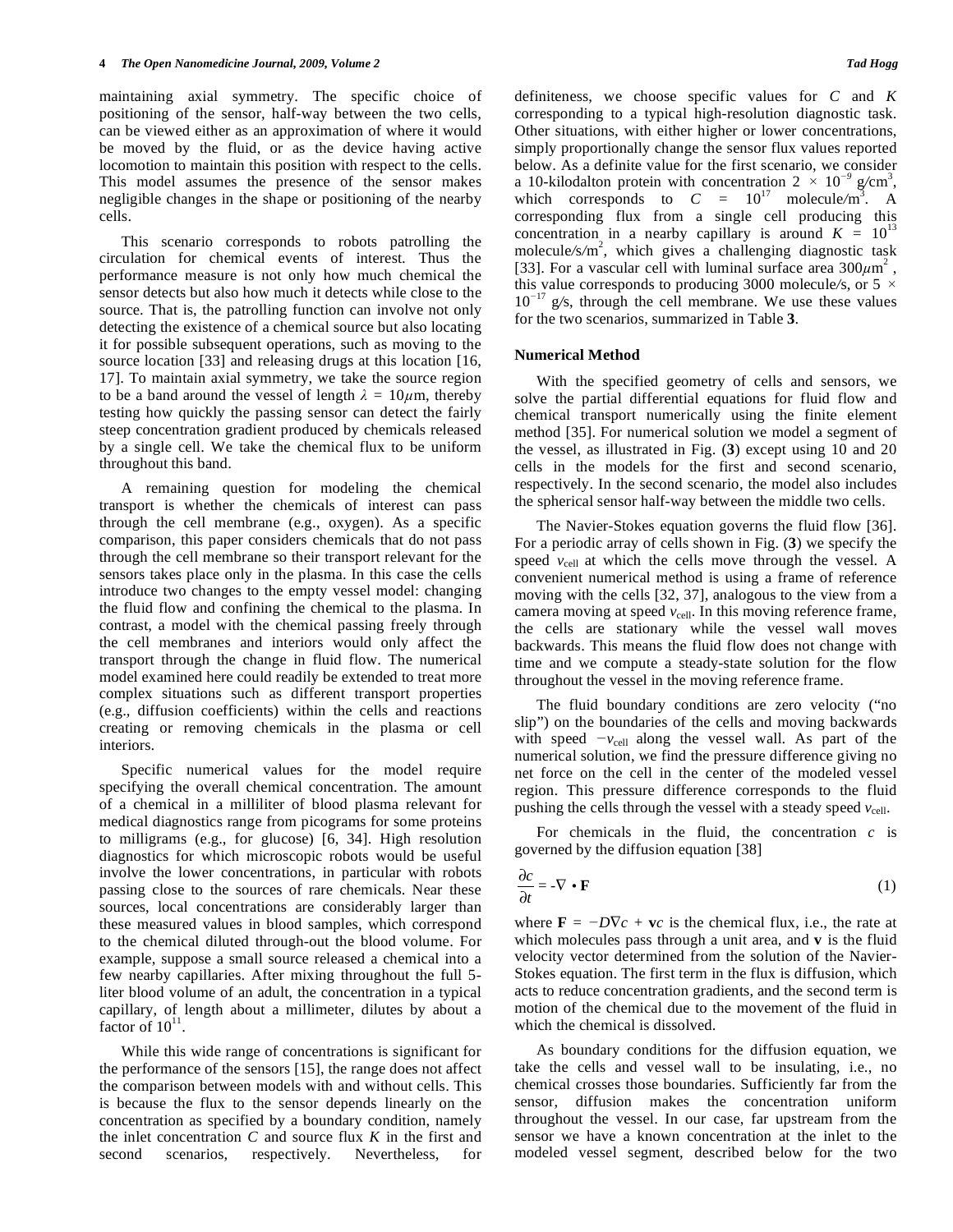maintaining axial symmetry. The specific choice of positioning of the sensor, half-way between the two cells, can be viewed either as an approximation of where it would be moved by the fluid, or as the device having active locomotion to maintain this position with respect to the cells. This model assumes the presence of the sensor makes negligible changes in the shape or positioning of the nearby cells.

 This scenario corresponds to robots patrolling the circulation for chemical events of interest. Thus the performance measure is not only how much chemical the sensor detects but also how much it detects while close to the source. That is, the patrolling function can involve not only detecting the existence of a chemical source but also locating it for possible subsequent operations, such as moving to the source location [33] and releasing drugs at this location [16, 17]. To maintain axial symmetry, we take the source region to be a band around the vessel of length  $\lambda = 10 \mu m$ , thereby testing how quickly the passing sensor can detect the fairly steep concentration gradient produced by chemicals released by a single cell. We take the chemical flux to be uniform throughout this band.

 A remaining question for modeling the chemical transport is whether the chemicals of interest can pass through the cell membrane (e.g., oxygen). As a specific comparison, this paper considers chemicals that do not pass through the cell membrane so their transport relevant for the sensors takes place only in the plasma. In this case the cells introduce two changes to the empty vessel model: changing the fluid flow and confining the chemical to the plasma. In contrast, a model with the chemical passing freely through the cell membranes and interiors would only affect the transport through the change in fluid flow. The numerical model examined here could readily be extended to treat more complex situations such as different transport properties (e.g., diffusion coefficients) within the cells and reactions creating or removing chemicals in the plasma or cell interiors.

 Specific numerical values for the model require specifying the overall chemical concentration. The amount of a chemical in a milliliter of blood plasma relevant for medical diagnostics range from picograms for some proteins to milligrams (e.g., for glucose) [6, 34]. High resolution diagnostics for which microscopic robots would be useful involve the lower concentrations, in particular with robots passing close to the sources of rare chemicals. Near these sources, local concentrations are considerably larger than these measured values in blood samples, which correspond to the chemical diluted through-out the blood volume. For example, suppose a small source released a chemical into a few nearby capillaries. After mixing throughout the full 5 liter blood volume of an adult, the concentration in a typical capillary, of length about a millimeter, dilutes by about a factor of  $10^{11}$ .

 While this wide range of concentrations is significant for the performance of the sensors [15], the range does not affect the comparison between models with and without cells. This is because the flux to the sensor depends linearly on the concentration as specified by a boundary condition, namely the inlet concentration *C* and source flux *K* in the first and second scenarios, respectively. Nevertheless, for

definiteness, we choose specific values for *C* and *K*  corresponding to a typical high-resolution diagnostic task. Other situations, with either higher or lower concentrations, simply proportionally change the sensor flux values reported below. As a definite value for the first scenario, we consider a 10-kilodalton protein with concentration  $2 \times 10^{-9}$  g/cm<sup>3</sup>, which corresponds to  $C = 10^{17}$  molecule/m<sup>3</sup>. A corresponding flux from a single cell producing this concentration in a nearby capillary is around  $K = 10^{13}$ molecule/s/m<sup>2</sup>, which gives a challenging diagnostic task [33]. For a vascular cell with luminal surface area  $300 \mu m^2$ , this value corresponds to producing 3000 molecule/s, or 5  $\times$ 10*-*17 g*/*s, through the cell membrane. We use these values for the two scenarios, summarized in Table **3**.

#### **Numerical Method**

 With the specified geometry of cells and sensors, we solve the partial differential equations for fluid flow and chemical transport numerically using the finite element method [35]. For numerical solution we model a segment of the vessel, as illustrated in Fig. (**3**) except using 10 and 20 cells in the models for the first and second scenario, respectively. In the second scenario, the model also includes the spherical sensor half-way between the middle two cells.

 The Navier-Stokes equation governs the fluid flow [36]. For a periodic array of cells shown in Fig. (**3**) we specify the speed  $v_{cell}$  at which the cells move through the vessel. A convenient numerical method is using a frame of reference moving with the cells [32, 37], analogous to the view from a camera moving at speed  $v_{cell}$ . In this moving reference frame, the cells are stationary while the vessel wall moves backwards. This means the fluid flow does not change with time and we compute a steady-state solution for the flow throughout the vessel in the moving reference frame.

 The fluid boundary conditions are zero velocity ("no slip") on the boundaries of the cells and moving backwards with speed  $-v_{cell}$  along the vessel wall. As part of the numerical solution, we find the pressure difference giving no net force on the cell in the center of the modeled vessel region. This pressure difference corresponds to the fluid pushing the cells through the vessel with a steady speed  $v_{cell}$ .

 For chemicals in the fluid, the concentration *c* is governed by the diffusion equation [38]

$$
\frac{\partial c}{\partial t} = -\nabla \cdot \mathbf{F} \tag{1}
$$

where  $\mathbf{F} = -D\nabla c + \mathbf{v}c$  is the chemical flux, i.e., the rate at which molecules pass through a unit area, and **v** is the fluid velocity vector determined from the solution of the Navier-Stokes equation. The first term in the flux is diffusion, which acts to reduce concentration gradients, and the second term is motion of the chemical due to the movement of the fluid in which the chemical is dissolved.

 As boundary conditions for the diffusion equation, we take the cells and vessel wall to be insulating, i.e., no chemical crosses those boundaries. Sufficiently far from the sensor, diffusion makes the concentration uniform throughout the vessel. In our case, far upstream from the sensor we have a known concentration at the inlet to the modeled vessel segment, described below for the two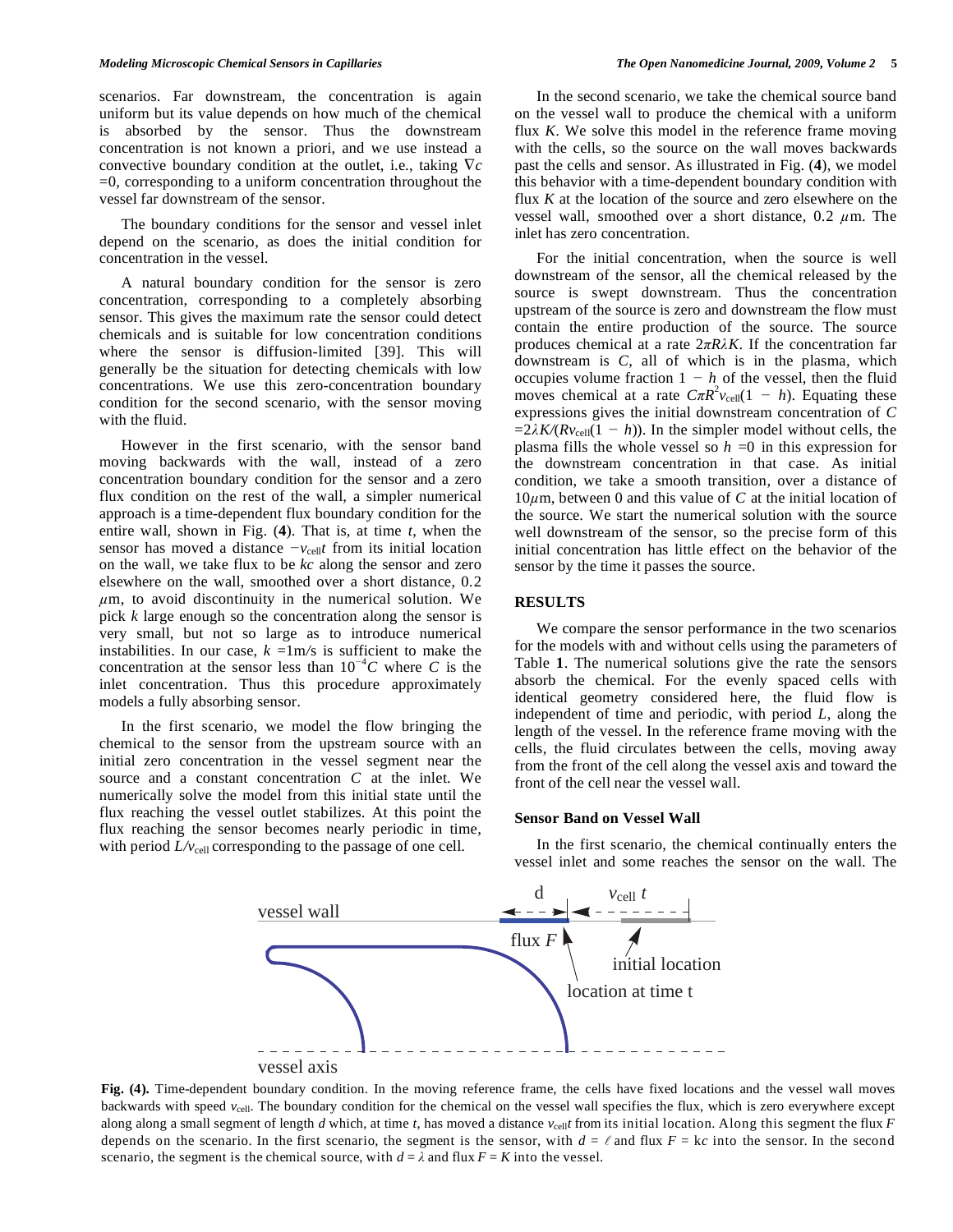scenarios. Far downstream, the concentration is again uniform but its value depends on how much of the chemical is absorbed by the sensor. Thus the downstream concentration is not known a priori, and we use instead a convective boundary condition at the outlet, i.e., taking  $\nabla c$  $=0$ , corresponding to a uniform concentration throughout the vessel far downstream of the sensor.

 The boundary conditions for the sensor and vessel inlet depend on the scenario, as does the initial condition for concentration in the vessel.

 A natural boundary condition for the sensor is zero concentration, corresponding to a completely absorbing sensor. This gives the maximum rate the sensor could detect chemicals and is suitable for low concentration conditions where the sensor is diffusion-limited [39]. This will generally be the situation for detecting chemicals with low concentrations. We use this zero-concentration boundary condition for the second scenario, with the sensor moving with the fluid.

 However in the first scenario, with the sensor band moving backwards with the wall, instead of a zero concentration boundary condition for the sensor and a zero flux condition on the rest of the wall, a simpler numerical approach is a time-dependent flux boundary condition for the entire wall, shown in Fig. (**4**). That is, at time *t*, when the sensor has moved a distance  $-v_{cell}t$  from its initial location on the wall, we take flux to be *kc* along the sensor and zero elsewhere on the wall, smoothed over a short distance, 0*.*2  $\mu$ m, to avoid discontinuity in the numerical solution. We pick *k* large enough so the concentration along the sensor is very small, but not so large as to introduce numerical instabilities. In our case,  $k = 1$ m/s is sufficient to make the concentration at the sensor less than  $10^{-4}C$  where *C* is the inlet concentration. Thus this procedure approximately models a fully absorbing sensor.

 In the first scenario, we model the flow bringing the chemical to the sensor from the upstream source with an initial zero concentration in the vessel segment near the source and a constant concentration *C* at the inlet. We numerically solve the model from this initial state until the flux reaching the vessel outlet stabilizes. At this point the flux reaching the sensor becomes nearly periodic in time, with period  $L/v_{cell}$  corresponding to the passage of one cell.

 In the second scenario, we take the chemical source band on the vessel wall to produce the chemical with a uniform flux *K*. We solve this model in the reference frame moving with the cells, so the source on the wall moves backwards past the cells and sensor. As illustrated in Fig. (**4**), we model this behavior with a time-dependent boundary condition with flux *K* at the location of the source and zero elsewhere on the vessel wall, smoothed over a short distance, 0.2  $\mu$ m. The inlet has zero concentration.

 For the initial concentration, when the source is well downstream of the sensor, all the chemical released by the source is swept downstream. Thus the concentration upstream of the source is zero and downstream the flow must contain the entire production of the source. The source produces chemical at a rate  $2\pi R\lambda K$ . If the concentration far downstream is *C*, all of which is in the plasma, which occupies volume fraction  $1 - h$  of the vessel, then the fluid moves chemical at a rate  $C \pi R^2 v_{cell} (1 - h)$ . Equating these expressions gives the initial downstream concentration of *C*   $=2\lambda K/(Rv_{\text{cell}}(1-h))$ . In the simpler model without cells, the plasma fills the whole vessel so *h* =0 in this expression for the downstream concentration in that case. As initial condition, we take a smooth transition, over a distance of  $10\mu$ m, between 0 and this value of C at the initial location of the source. We start the numerical solution with the source well downstream of the sensor, so the precise form of this initial concentration has little effect on the behavior of the sensor by the time it passes the source.

#### **RESULTS**

 We compare the sensor performance in the two scenarios for the models with and without cells using the parameters of Table **1**. The numerical solutions give the rate the sensors absorb the chemical. For the evenly spaced cells with identical geometry considered here, the fluid flow is independent of time and periodic, with period *L*, along the length of the vessel. In the reference frame moving with the cells, the fluid circulates between the cells, moving away from the front of the cell along the vessel axis and toward the front of the cell near the vessel wall.

#### **Sensor Band on Vessel Wall**

 In the first scenario, the chemical continually enters the vessel inlet and some reaches the sensor on the wall. The



**Fig. (4).** Time-dependent boundary condition. In the moving reference frame, the cells have fixed locations and the vessel wall moves backwards with speed *v*<sub>cell</sub>. The boundary condition for the chemical on the vessel wall specifies the flux, which is zero everywhere except along along a small segment of length *d* which, at time *t*, has moved a distance  $v_{cell}$  from its initial location. Along this segment the flux *F* depends on the scenario. In the first scenario, the segment is the sensor, with  $d = \ell$  and flux  $F = kc$  into the sensor. In the second scenario, the segment is the chemical source, with  $d = \lambda$  and flux  $F = K$  into the vessel.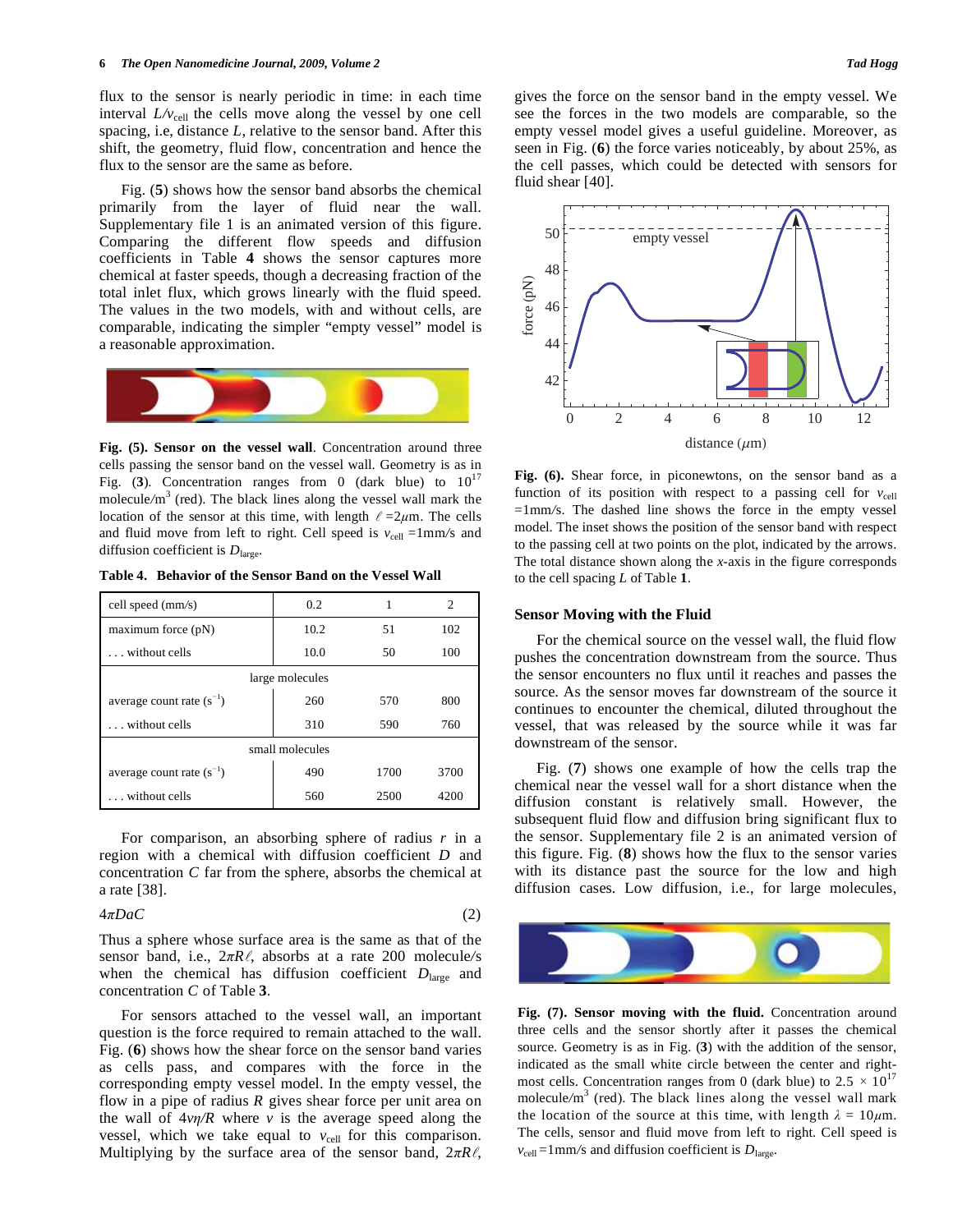flux to the sensor is nearly periodic in time: in each time interval  $L/v_{cell}$  the cells move along the vessel by one cell spacing, i.e, distance *L*, relative to the sensor band. After this shift, the geometry, fluid flow, concentration and hence the flux to the sensor are the same as before.

 Fig. (**5**) shows how the sensor band absorbs the chemical primarily from the layer of fluid near the wall. Supplementary file 1 is an animated version of this figure. Comparing the different flow speeds and diffusion coefficients in Table **4** shows the sensor captures more chemical at faster speeds, though a decreasing fraction of the total inlet flux, which grows linearly with the fluid speed. The values in the two models, with and without cells, are comparable, indicating the simpler "empty vessel" model is a reasonable approximation.



**Fig. (5). Sensor on the vessel wall**. Concentration around three cells passing the sensor band on the vessel wall. Geometry is as in Fig.  $(3)$ . Concentration ranges from 0 (dark blue) to  $10^{17}$ molecule/m<sup>3</sup> (red). The black lines along the vessel wall mark the location of the sensor at this time, with length  $\ell = 2\mu m$ . The cells and fluid move from left to right. Cell speed is  $v_{cell} = 1$ mm/s and diffusion coefficient is  $D<sub>large</sub>$ .

**Table 4. Behavior of the Sensor Band on the Vessel Wall** 

| cell speed (mm/s)             | 0.2  | 1    | $\mathfrak{D}$ |
|-------------------------------|------|------|----------------|
| maximum force $(pN)$          | 10.2 | 51   | 102            |
| without cells                 | 10.0 | 50   | 100            |
| large molecules               |      |      |                |
| average count rate $(s^{-1})$ | 260  | 570  | 800            |
| without cells                 | 310  | 590  | 760            |
| small molecules               |      |      |                |
| average count rate $(s^{-1})$ | 490  | 1700 | 3700           |
| without cells                 | 560  | 2500 | 4200           |

 For comparison, an absorbing sphere of radius *r* in a region with a chemical with diffusion coefficient *D* and concentration *C* far from the sphere, absorbs the chemical at a rate [38].

# $4\pi DaC$  (2)

Thus a sphere whose surface area is the same as that of the sensor band, i.e.,  $2\pi R\ell$ , absorbs at a rate 200 molecule/s when the chemical has diffusion coefficient  $D<sub>large</sub>$  and concentration *C* of Table **3**.

 For sensors attached to the vessel wall, an important question is the force required to remain attached to the wall. Fig. (**6**) shows how the shear force on the sensor band varies as cells pass, and compares with the force in the corresponding empty vessel model. In the empty vessel, the flow in a pipe of radius *R* gives shear force per unit area on the wall of  $4\nu\eta/R$  where *v* is the average speed along the vessel, which we take equal to  $v_{cell}$  for this comparison. Multiplying by the surface area of the sensor band,  $2\pi R\ell$ ,

gives the force on the sensor band in the empty vessel. We see the forces in the two models are comparable, so the empty vessel model gives a useful guideline. Moreover, as seen in Fig. (**6**) the force varies noticeably, by about 25%, as the cell passes, which could be detected with sensors for fluid shear [40].



**Fig. (6).** Shear force, in piconewtons, on the sensor band as a function of its position with respect to a passing cell for  $v_{cell}$ =1mm*/*s. The dashed line shows the force in the empty vessel model. The inset shows the position of the sensor band with respect to the passing cell at two points on the plot, indicated by the arrows. The total distance shown along the *x*-axis in the figure corresponds to the cell spacing *L* of Table **1**.

### **Sensor Moving with the Fluid**

 For the chemical source on the vessel wall, the fluid flow pushes the concentration downstream from the source. Thus the sensor encounters no flux until it reaches and passes the source. As the sensor moves far downstream of the source it continues to encounter the chemical, diluted throughout the vessel, that was released by the source while it was far downstream of the sensor.

 Fig. (**7**) shows one example of how the cells trap the chemical near the vessel wall for a short distance when the diffusion constant is relatively small. However, the subsequent fluid flow and diffusion bring significant flux to the sensor. Supplementary file 2 is an animated version of this figure. Fig. (**8**) shows how the flux to the sensor varies with its distance past the source for the low and high diffusion cases. Low diffusion, i.e., for large molecules,



**Fig. (7). Sensor moving with the fluid.** Concentration around three cells and the sensor shortly after it passes the chemical source. Geometry is as in Fig. (**3**) with the addition of the sensor, indicated as the small white circle between the center and rightmost cells. Concentration ranges from 0 (dark blue) to  $2.5 \times 10^{17}$ molecule/m<sup>3</sup> (red). The black lines along the vessel wall mark the location of the source at this time, with length  $\lambda = 10 \mu m$ . The cells, sensor and fluid move from left to right. Cell speed is  $v_{\text{cell}} = 1$  mm/s and diffusion coefficient is  $D_{\text{large}}$ .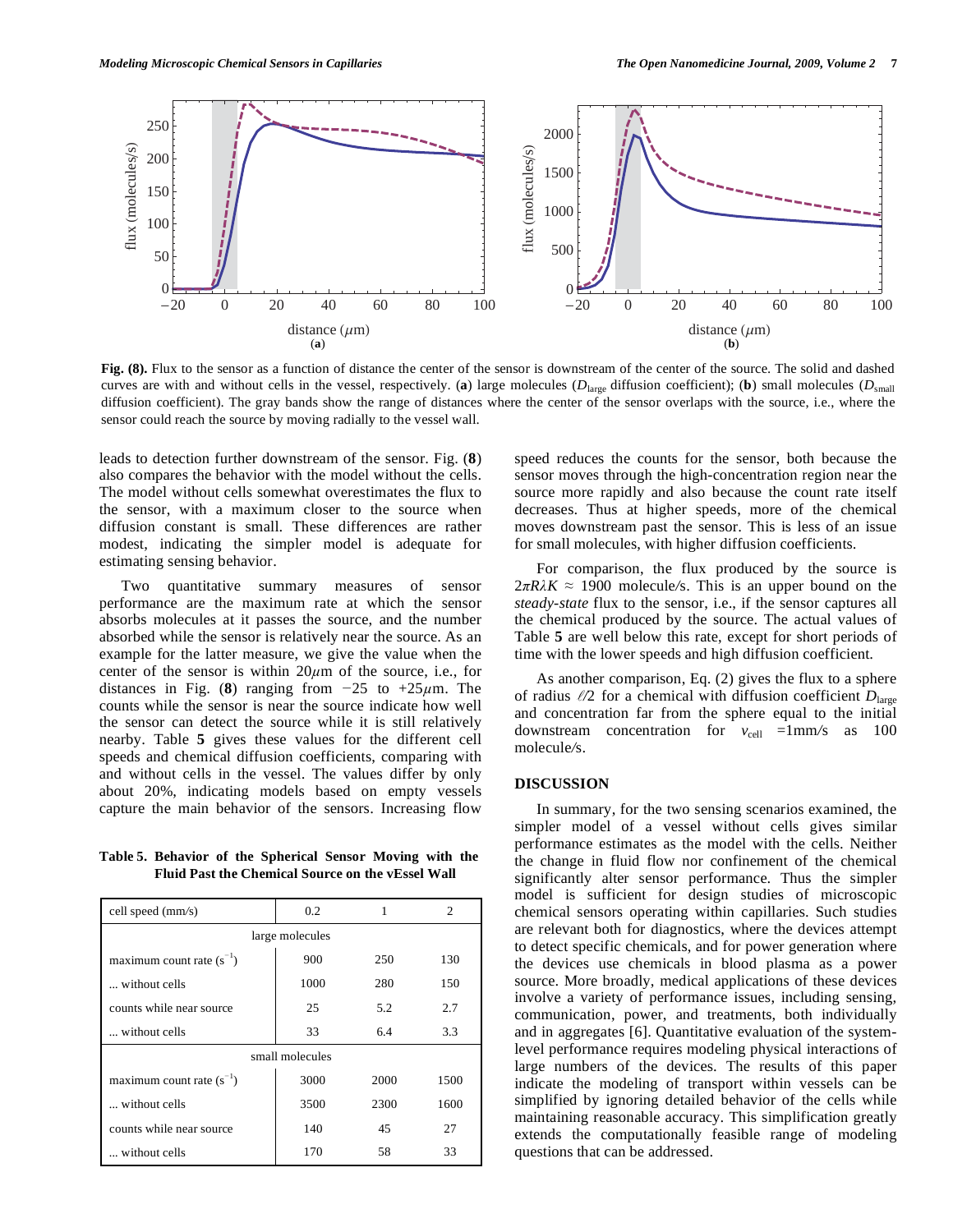

**Fig. (8).** Flux to the sensor as a function of distance the center of the sensor is downstream of the center of the source. The solid and dashed curves are with and without cells in the vessel, respectively. (a) large molecules ( $D<sub>large</sub>$  diffusion coefficient); (b) small molecules ( $D<sub>small</sub>$ diffusion coefficient). The gray bands show the range of distances where the center of the sensor overlaps with the source, i.e., where the sensor could reach the source by moving radially to the vessel wall.

leads to detection further downstream of the sensor. Fig. (**8**) also compares the behavior with the model without the cells. The model without cells somewhat overestimates the flux to the sensor, with a maximum closer to the source when diffusion constant is small. These differences are rather modest, indicating the simpler model is adequate for estimating sensing behavior.

 Two quantitative summary measures of sensor performance are the maximum rate at which the sensor absorbs molecules at it passes the source, and the number absorbed while the sensor is relatively near the source. As an example for the latter measure, we give the value when the center of the sensor is within  $20\mu m$  of the source, i.e., for distances in Fig. (8) ranging from  $-25$  to  $+25\mu$ m. The counts while the sensor is near the source indicate how well the sensor can detect the source while it is still relatively nearby. Table **5** gives these values for the different cell speeds and chemical diffusion coefficients, comparing with and without cells in the vessel. The values differ by only about 20%, indicating models based on empty vessels capture the main behavior of the sensors. Increasing flow

**Table 5. Behavior of the Spherical Sensor Moving with the Fluid Past the Chemical Source on the vEssel Wall** 

| cell speed (mm/s)             | 0.2  | 1    | $\mathcal{D}_{\mathcal{L}}$ |  |
|-------------------------------|------|------|-----------------------------|--|
| large molecules               |      |      |                             |  |
| maximum count rate $(s^{-1})$ | 900  | 250  | 130                         |  |
| without cells                 | 1000 | 280  | 150                         |  |
| counts while near source      | 25   | 5.2  | 2.7                         |  |
| without cells                 | 33   | 6.4  | 3.3                         |  |
| small molecules               |      |      |                             |  |
| maximum count rate $(s^{-1})$ | 3000 | 2000 | 1500                        |  |
| without cells                 | 3500 | 2300 | 1600                        |  |
| counts while near source      | 140  | 45   | 27                          |  |
| without cells                 | 170  | 58   | 33                          |  |

speed reduces the counts for the sensor, both because the sensor moves through the high-concentration region near the source more rapidly and also because the count rate itself decreases. Thus at higher speeds, more of the chemical moves downstream past the sensor. This is less of an issue for small molecules, with higher diffusion coefficients.

 For comparison, the flux produced by the source is  $2\pi R\lambda K \approx 1900$  molecule/s. This is an upper bound on the *steady-state* flux to the sensor, i.e., if the sensor captures all the chemical produced by the source. The actual values of Table **5** are well below this rate, except for short periods of time with the lower speeds and high diffusion coefficient.

 As another comparison, Eq. (2) gives the flux to a sphere of radius */*2 for a chemical with diffusion coefficient *D*large and concentration far from the sphere equal to the initial downstream concentration for  $v_{cell} =1$ mm/s as 100 molecule*/*s.

#### **DISCUSSION**

 In summary, for the two sensing scenarios examined, the simpler model of a vessel without cells gives similar performance estimates as the model with the cells. Neither the change in fluid flow nor confinement of the chemical significantly alter sensor performance. Thus the simpler model is sufficient for design studies of microscopic chemical sensors operating within capillaries. Such studies are relevant both for diagnostics, where the devices attempt to detect specific chemicals, and for power generation where the devices use chemicals in blood plasma as a power source. More broadly, medical applications of these devices involve a variety of performance issues, including sensing, communication, power, and treatments, both individually and in aggregates [6]. Quantitative evaluation of the systemlevel performance requires modeling physical interactions of large numbers of the devices. The results of this paper indicate the modeling of transport within vessels can be simplified by ignoring detailed behavior of the cells while maintaining reasonable accuracy. This simplification greatly extends the computationally feasible range of modeling questions that can be addressed.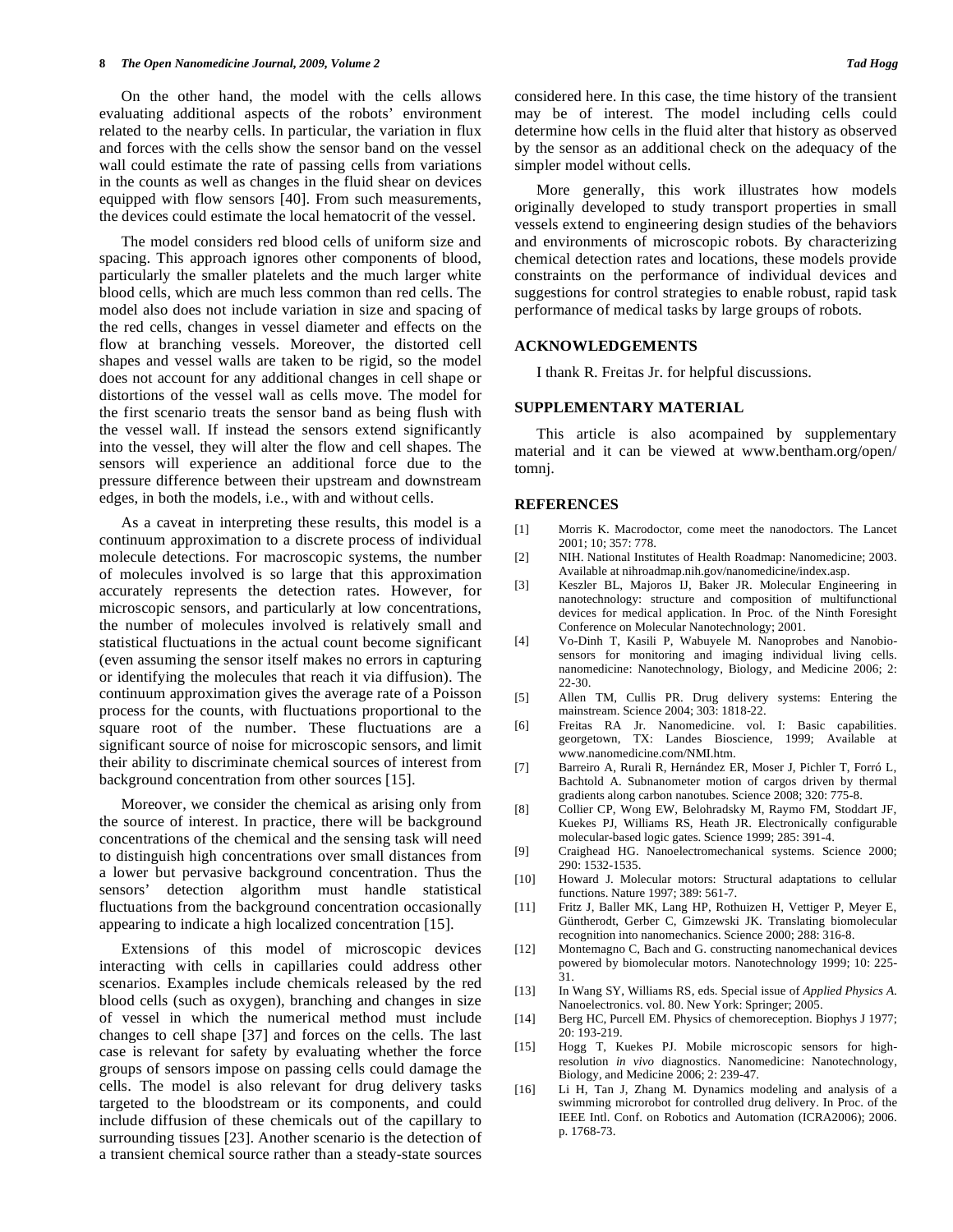On the other hand, the model with the cells allows evaluating additional aspects of the robots' environment related to the nearby cells. In particular, the variation in flux and forces with the cells show the sensor band on the vessel wall could estimate the rate of passing cells from variations in the counts as well as changes in the fluid shear on devices equipped with flow sensors [40]. From such measurements, the devices could estimate the local hematocrit of the vessel.

 The model considers red blood cells of uniform size and spacing. This approach ignores other components of blood, particularly the smaller platelets and the much larger white blood cells, which are much less common than red cells. The model also does not include variation in size and spacing of the red cells, changes in vessel diameter and effects on the flow at branching vessels. Moreover, the distorted cell shapes and vessel walls are taken to be rigid, so the model does not account for any additional changes in cell shape or distortions of the vessel wall as cells move. The model for the first scenario treats the sensor band as being flush with the vessel wall. If instead the sensors extend significantly into the vessel, they will alter the flow and cell shapes. The sensors will experience an additional force due to the pressure difference between their upstream and downstream edges, in both the models, i.e., with and without cells.

 As a caveat in interpreting these results, this model is a continuum approximation to a discrete process of individual molecule detections. For macroscopic systems, the number of molecules involved is so large that this approximation accurately represents the detection rates. However, for microscopic sensors, and particularly at low concentrations, the number of molecules involved is relatively small and statistical fluctuations in the actual count become significant (even assuming the sensor itself makes no errors in capturing or identifying the molecules that reach it via diffusion). The continuum approximation gives the average rate of a Poisson process for the counts, with fluctuations proportional to the square root of the number. These fluctuations are a significant source of noise for microscopic sensors, and limit their ability to discriminate chemical sources of interest from background concentration from other sources [15].

 Moreover, we consider the chemical as arising only from the source of interest. In practice, there will be background concentrations of the chemical and the sensing task will need to distinguish high concentrations over small distances from a lower but pervasive background concentration. Thus the sensors' detection algorithm must handle statistical fluctuations from the background concentration occasionally appearing to indicate a high localized concentration [15].

 Extensions of this model of microscopic devices interacting with cells in capillaries could address other scenarios. Examples include chemicals released by the red blood cells (such as oxygen), branching and changes in size of vessel in which the numerical method must include changes to cell shape [37] and forces on the cells. The last case is relevant for safety by evaluating whether the force groups of sensors impose on passing cells could damage the cells. The model is also relevant for drug delivery tasks targeted to the bloodstream or its components, and could include diffusion of these chemicals out of the capillary to surrounding tissues [23]. Another scenario is the detection of a transient chemical source rather than a steady-state sources

considered here. In this case, the time history of the transient may be of interest. The model including cells could determine how cells in the fluid alter that history as observed by the sensor as an additional check on the adequacy of the simpler model without cells.

 More generally, this work illustrates how models originally developed to study transport properties in small vessels extend to engineering design studies of the behaviors and environments of microscopic robots. By characterizing chemical detection rates and locations, these models provide constraints on the performance of individual devices and suggestions for control strategies to enable robust, rapid task performance of medical tasks by large groups of robots.

#### **ACKNOWLEDGEMENTS**

I thank R. Freitas Jr. for helpful discussions.

#### **SUPPLEMENTARY MATERIAL**

 This article is also acompained by supplementary material and it can be viewed at www.bentham.org/open/ tomni.

#### **REFERENCES**

- [1] Morris K. Macrodoctor, come meet the nanodoctors. The Lancet 2001; 10; 357: 778.
- [2] NIH. National Institutes of Health Roadmap: Nanomedicine; 2003. Available at nihroadmap.nih.gov/nanomedicine/index.asp.
- [3] Keszler BL, Majoros IJ, Baker JR. Molecular Engineering in nanotechnology: structure and composition of multifunctional devices for medical application. In Proc. of the Ninth Foresight Conference on Molecular Nanotechnology; 2001.
- [4] Vo-Dinh T, Kasili P, Wabuyele M. Nanoprobes and Nanobiosensors for monitoring and imaging individual living cells. nanomedicine: Nanotechnology, Biology, and Medicine 2006; 2: 22-30.
- [5] Allen TM, Cullis PR. Drug delivery systems: Entering the mainstream. Science 2004; 303: 1818-22.
- [6] Freitas RA Jr. Nanomedicine. vol. I: Basic capabilities. georgetown, TX: Landes Bioscience, 1999; Available at www.nanomedicine.com/NMI.htm.
- [7] Barreiro A, Rurali R, Hernández ER, Moser J, Pichler T, Forró L, Bachtold A. Subnanometer motion of cargos driven by thermal gradients along carbon nanotubes. Science 2008; 320: 775-8.
- [8] Collier CP, Wong EW, Belohradsky M, Raymo FM, Stoddart JF, Kuekes PJ, Williams RS, Heath JR. Electronically configurable molecular-based logic gates. Science 1999; 285: 391-4.
- [9] Craighead HG. Nanoelectromechanical systems. Science 2000; 290: 1532-1535.
- [10] Howard J. Molecular motors: Structural adaptations to cellular functions. Nature 1997; 389: 561-7.
- [11] Fritz J, Baller MK, Lang HP, Rothuizen H, Vettiger P, Meyer E, Güntherodt, Gerber C, Gimzewski JK. Translating biomolecular recognition into nanomechanics. Science 2000; 288: 316-8.
- [12] Montemagno C, Bach and G. constructing nanomechanical devices powered by biomolecular motors. Nanotechnology 1999; 10: 225- 31.
- [13] In Wang SY, Williams RS, eds. Special issue of *Applied Physics A*. Nanoelectronics. vol. 80. New York: Springer; 2005.
- [14] Berg HC, Purcell EM. Physics of chemoreception. Biophys J 1977; 20: 193-219.
- [15] Hogg T, Kuekes PJ. Mobile microscopic sensors for highresolution *in vivo* diagnostics. Nanomedicine: Nanotechnology, Biology, and Medicine 2006; 2: 239-47.
- [16] Li H, Tan J, Zhang M. Dynamics modeling and analysis of a swimming microrobot for controlled drug delivery. In Proc. of the IEEE Intl. Conf. on Robotics and Automation (ICRA2006); 2006. p. 1768-73.